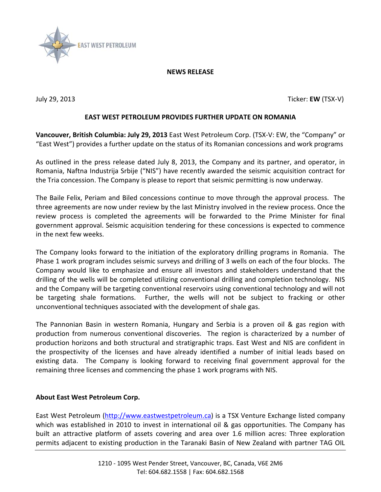

## **NEWS RELEASE**

July 29, 2013 Ticker: **EW** (TSX-V)

## **EAST WEST PETROLEUM PROVIDES FURTHER UPDATE ON ROMANIA**

**Vancouver, British Columbia: July 29, 2013** East West Petroleum Corp. (TSX-V: EW, the "Company" or "East West") provides a further update on the status of its Romanian concessions and work programs

As outlined in the press release dated July 8, 2013, the Company and its partner, and operator, in Romania, Naftna Industrija Srbije ("NIS") have recently awarded the seismic acquisition contract for the Tria concession. The Company is please to report that seismic permitting is now underway.

The Baile Felix, Periam and Biled concessions continue to move through the approval process. The three agreements are now under review by the last Ministry involved in the review process. Once the review process is completed the agreements will be forwarded to the Prime Minister for final government approval. Seismic acquisition tendering for these concessions is expected to commence in the next few weeks.

The Company looks forward to the initiation of the exploratory drilling programs in Romania. The Phase 1 work program includes seismic surveys and drilling of 3 wells on each of the four blocks. The Company would like to emphasize and ensure all investors and stakeholders understand that the drilling of the wells will be completed utilizing conventional drilling and completion technology. NIS and the Company will be targeting conventional reservoirs using conventional technology and will not be targeting shale formations. Further, the wells will not be subject to fracking or other unconventional techniques associated with the development of shale gas.

The Pannonian Basin in western Romania, Hungary and Serbia is a proven oil & gas region with production from numerous conventional discoveries. The region is characterized by a number of production horizons and both structural and stratigraphic traps. East West and NIS are confident in the prospectivity of the licenses and have already identified a number of initial leads based on existing data. The Company is looking forward to receiving final government approval for the remaining three licenses and commencing the phase 1 work programs with NIS.

## **About East West Petroleum Corp.**

East West Petroleum [\(http://www.eastwestpetroleum.ca\)](http://www.eastwestpetroleum.ca/) is a TSX Venture Exchange listed company which was established in 2010 to invest in international oil & gas opportunities. The Company has built an attractive platform of assets covering and area over 1.6 million acres: Three exploration permits adjacent to existing production in the Taranaki Basin of New Zealand with partner TAG OIL